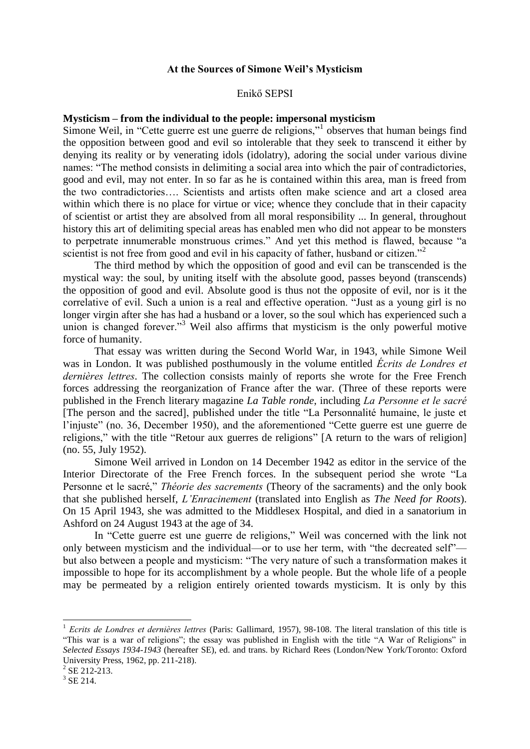# **At the Sources of Simone Weil's Mysticism**

### Enikő SEPSI

### **Mysticism – from the individual to the people: impersonal mysticism**

Simone Weil, in "Cette guerre est une guerre de religions,"<sup>1</sup> observes that human beings find the opposition between good and evil so intolerable that they seek to transcend it either by denying its reality or by venerating idols (idolatry), adoring the social under various divine names: "The method consists in delimiting a social area into which the pair of contradictories, good and evil, may not enter. In so far as he is contained within this area, man is freed from the two contradictories…. Scientists and artists often make science and art a closed area within which there is no place for virtue or vice; whence they conclude that in their capacity of scientist or artist they are absolved from all moral responsibility ... In general, throughout history this art of delimiting special areas has enabled men who did not appear to be monsters to perpetrate innumerable monstruous crimes." And yet this method is flawed, because "a scientist is not free from good and evil in his capacity of father, husband or citizen."

The third method by which the opposition of good and evil can be transcended is the mystical way: the soul, by uniting itself with the absolute good, passes beyond (transcends) the opposition of good and evil. Absolute good is thus not the opposite of evil, nor is it the correlative of evil. Such a union is a real and effective operation. "Just as a young girl is no longer virgin after she has had a husband or a lover, so the soul which has experienced such a union is changed forever.<sup> $3\text{ }$ </sup> Weil also affirms that mysticism is the only powerful motive force of humanity.

That essay was written during the Second World War, in 1943, while Simone Weil was in London. It was published posthumously in the volume entitled *Écrits de Londres et dernières lettres*. The collection consists mainly of reports she wrote for the Free French forces addressing the reorganization of France after the war. (Three of these reports were published in the French literary magazine *La Table ronde*, including *La Personne et le sacré* [The person and the sacred], published under the title "La Personnalité humaine, le juste et l'injuste" (no. 36, December 1950), and the aforementioned "Cette guerre est une guerre de religions," with the title "Retour aux guerres de religions" [A return to the wars of religion] (no. 55, July 1952).

Simone Weil arrived in London on 14 December 1942 as editor in the service of the Interior Directorate of the Free French forces. In the subsequent period she wrote "La Personne et le sacré," *Théorie des sacrements* (Theory of the sacraments) and the only book that she published herself, *L'Enracinement* (translated into English as *The Need for Roots*). On 15 April 1943, she was admitted to the Middlesex Hospital, and died in a sanatorium in Ashford on 24 August 1943 at the age of 34.

In "Cette guerre est une guerre de religions," Weil was concerned with the link not only between mysticism and the individual—or to use her term, with "the decreated self" but also between a people and mysticism: "The very nature of such a transformation makes it impossible to hope for its accomplishment by a whole people. But the whole life of a people may be permeated by a religion entirely oriented towards mysticism. It is only by this

 $\overline{a}$ 

<sup>1</sup> *Ecrits de Londres et dernières lettres* (Paris: Gallimard, 1957), 98-108. The literal translation of this title is "This war is a war of religions"; the essay was published in English with the title "A War of Religions" in *Selected Essays 1934-1943* (hereafter SE), ed. and trans. by Richard Rees (London/New York/Toronto: Oxford University Press, 1962, pp. 211-218).

 $2$  SE 212-213.

 $3$  SE 214.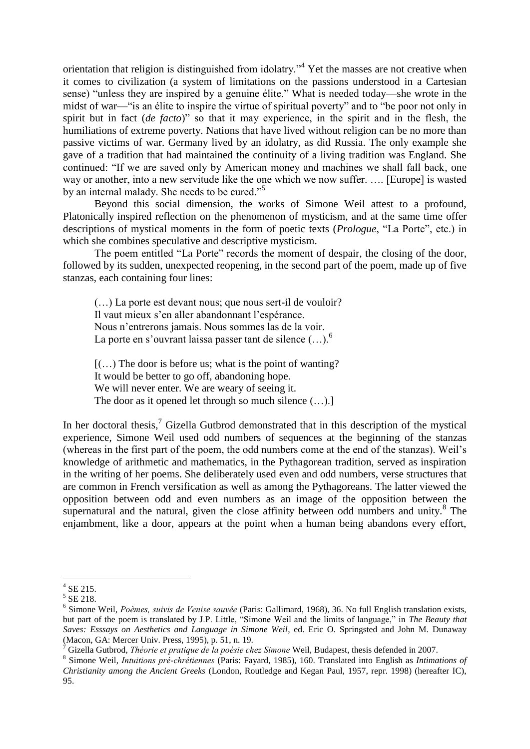orientation that religion is distinguished from idolatry."<sup>4</sup> Yet the masses are not creative when it comes to civilization (a system of limitations on the passions understood in a Cartesian sense) "unless they are inspired by a genuine élite." What is needed today—she wrote in the midst of war—"is an élite to inspire the virtue of spiritual poverty" and to "be poor not only in spirit but in fact (*de facto*)" so that it may experience, in the spirit and in the flesh, the humiliations of extreme poverty. Nations that have lived without religion can be no more than passive victims of war. Germany lived by an idolatry, as did Russia. The only example she gave of a tradition that had maintained the continuity of a living tradition was England. She continued: "If we are saved only by American money and machines we shall fall back, one way or another, into a new servitude like the one which we now suffer. …. [Europe] is wasted by an internal malady. She needs to be cured."<sup>5</sup>

Beyond this social dimension, the works of Simone Weil attest to a profound, Platonically inspired reflection on the phenomenon of mysticism, and at the same time offer descriptions of mystical moments in the form of poetic texts (*Prologue*, "La Porte", etc.) in which she combines speculative and descriptive mysticism.

The poem entitled "La Porte" records the moment of despair, the closing of the door, followed by its sudden, unexpected reopening, in the second part of the poem, made up of five stanzas, each containing four lines:

(…) La porte est devant nous; que nous sert-il de vouloir? Il vaut mieux s'en aller abandonnant l'espérance. Nous n'entrerons jamais. Nous sommes las de la voir. La porte en s'ouvrant laissa passer tant de silence (...).<sup>6</sup>

 $[$ (...) The door is before us; what is the point of wanting? It would be better to go off, abandoning hope. We will never enter. We are weary of seeing it. The door as it opened let through so much silence (…).]

In her doctoral thesis,<sup>7</sup> Gizella Gutbrod demonstrated that in this description of the mystical experience, Simone Weil used odd numbers of sequences at the beginning of the stanzas (whereas in the first part of the poem, the odd numbers come at the end of the stanzas). Weil's knowledge of arithmetic and mathematics, in the Pythagorean tradition, served as inspiration in the writing of her poems. She deliberately used even and odd numbers, verse structures that are common in French versification as well as among the Pythagoreans. The latter viewed the opposition between odd and even numbers as an image of the opposition between the supernatural and the natural, given the close affinity between odd numbers and unity. $8$  The enjambment, like a door, appears at the point when a human being abandons every effort,

 $\frac{4}{\text{SE }215.}$ 

<sup>5</sup> SE 218.

<sup>6</sup> Simone Weil, *Poèmes, suivis de Venise sauvée* (Paris: Gallimard, 1968), 36. No full English translation exists, but part of the poem is translated by J.P. Little, "Simone Weil and the limits of language," in *The Beauty that Saves: Esssays on Aesthetics and Language in Simone Weil*, ed. Eric O. Springsted and John M. Dunaway (Macon, GA: Mercer Univ. Press, 1995), p. 51, n. 19.

<sup>7</sup> Gizella Gutbrod, *Théorie et pratique de la poésie chez Simone* Weil, Budapest, thesis defended in 2007.

<sup>8</sup> Simone Weil, *Intuitions pré-chrétiennes* (Paris: Fayard, 1985), 160. Translated into English as *Intimations of Christianity among the Ancient Greeks* (London, Routledge and Kegan Paul, 1957, repr. 1998) (hereafter IC), 95.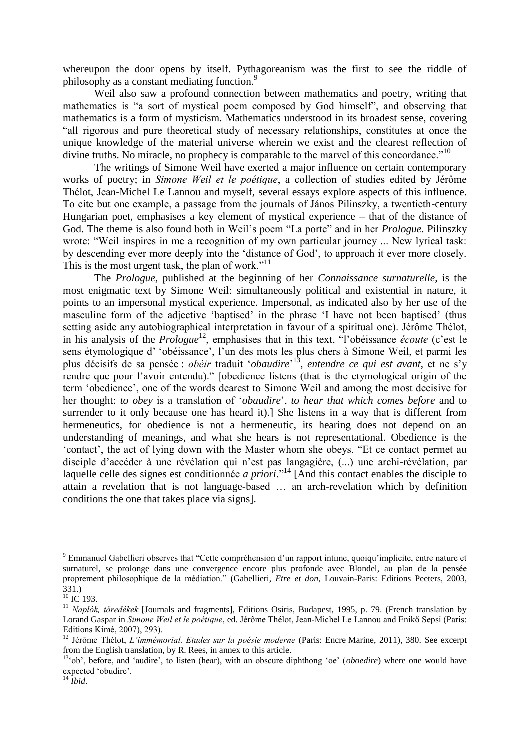whereupon the door opens by itself. Pythagoreanism was the first to see the riddle of philosophy as a constant mediating function.<sup>9</sup>

Weil also saw a profound connection between mathematics and poetry, writing that mathematics is "a sort of mystical poem composed by God himself", and observing that mathematics is a form of mysticism. Mathematics understood in its broadest sense, covering "all rigorous and pure theoretical study of necessary relationships, constitutes at once the unique knowledge of the material universe wherein we exist and the clearest reflection of divine truths. No miracle, no prophecy is comparable to the marvel of this concordance."<sup>10</sup>

The writings of Simone Weil have exerted a major influence on certain contemporary works of poetry; in *Simone Weil et le poétique*, a collection of studies edited by Jérôme Thélot, Jean-Michel Le Lannou and myself, several essays explore aspects of this influence. To cite but one example, a passage from the journals of János Pilinszky, a twentieth-century Hungarian poet, emphasises a key element of mystical experience – that of the distance of God. The theme is also found both in Weil's poem "La porte" and in her *Prologue*. Pilinszky wrote: "Weil inspires in me a recognition of my own particular journey ... New lyrical task: by descending ever more deeply into the 'distance of God', to approach it ever more closely. This is the most urgent task, the plan of work."<sup>11</sup>

The *Prologue*, published at the beginning of her *Connaissance surnaturelle*, is the most enigmatic text by Simone Weil: simultaneously political and existential in nature, it points to an impersonal mystical experience. Impersonal, as indicated also by her use of the masculine form of the adjective 'baptised' in the phrase 'I have not been baptised' (thus setting aside any autobiographical interpretation in favour of a spiritual one). Jérôme Thélot, in his analysis of the *Prologue*<sup>12</sup>, emphasises that in this text, "l'obéissance *écoute* (c'est le sens étymologique d' 'obéissance', l'un des mots les plus chers à Simone Weil, et parmi les plus décisifs de sa pensée : *obéir* traduit '*obaudire*' 13 , *entendre ce qui est avant*, et ne s'y rendre que pour l'avoir entendu)." [obedience listens (that is the etymological origin of the term 'obedience', one of the words dearest to Simone Weil and among the most decisive for her thought: *to obey* is a translation of '*obaudire*', *to hear that which comes before* and to surrender to it only because one has heard it).] She listens in a way that is different from hermeneutics, for obedience is not a hermeneutic, its hearing does not depend on an understanding of meanings, and what she hears is not representational. Obedience is the 'contact', the act of lying down with the Master whom she obeys. "Et ce contact permet au disciple d'accéder à une révélation qui n'est pas langagière, (...) une archi-révélation, par laquelle celle des signes est conditionnée *a priori*.<sup>14</sup> [And this contact enables the disciple to attain a revelation that is not language-based … an arch-revelation which by definition conditions the one that takes place via signs].

**.** 

<sup>9</sup> Emmanuel Gabellieri observes that "Cette compréhension d'un rapport intime, quoiqu'implicite, entre nature et surnaturel, se prolonge dans une convergence encore plus profonde avec Blondel, au plan de la pensée proprement philosophique de la médiation." (Gabellieri, *Etre et don*, Louvain-Paris: Editions Peeters, 2003, 331.)

 $10$  IC 193.

<sup>&</sup>lt;sup>11</sup> *Naplók, töredékek* [Journals and fragments], Editions Osiris, Budapest, 1995, p. 79. (French translation by Lorand Gaspar in *Simone Weil et le poétique*, ed. Jérôme Thélot, Jean-Michel Le Lannou and Enikő Sepsi (Paris: Editions Kimé, 2007), 293).

<sup>12</sup> Jérôme Thélot, *L'immémorial. Etudes sur la poésie moderne* (Paris: Encre Marine, 2011), 380. See excerpt from the English translation, by R. Rees, in annex to this article.

<sup>13</sup>'ob', before, and 'audire', to listen (hear), with an obscure diphthong 'oe' (*oboedire*) where one would have expected 'obudire'.

 $14$  *Ibid.*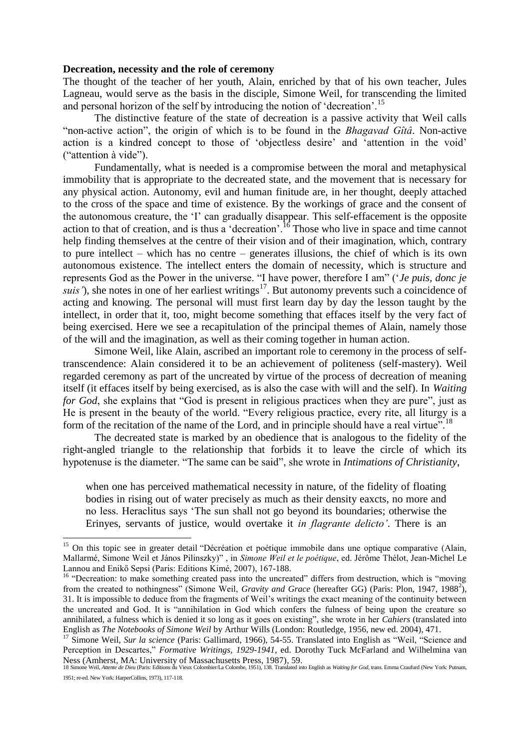## **Decreation, necessity and the role of ceremony**

**.** 

The thought of the teacher of her youth, Alain, enriched by that of his own teacher, Jules Lagneau, would serve as the basis in the disciple, Simone Weil, for transcending the limited and personal horizon of the self by introducing the notion of 'decreation'.<sup>15</sup>

The distinctive feature of the state of decreation is a passive activity that Weil calls "non-active action", the origin of which is to be found in the *Bhagavad Gîtâ*. Non-active action is a kindred concept to those of 'objectless desire' and 'attention in the void' ("attention à vide").

Fundamentally, what is needed is a compromise between the moral and metaphysical immobility that is appropriate to the decreated state, and the movement that is necessary for any physical action. Autonomy, evil and human finitude are, in her thought, deeply attached to the cross of the space and time of existence. By the workings of grace and the consent of the autonomous creature, the 'I' can gradually disappear. This self-effacement is the opposite action to that of creation, and is thus a 'decreation'.<sup>16</sup> Those who live in space and time cannot help finding themselves at the centre of their vision and of their imagination, which, contrary to pure intellect – which has no centre – generates illusions, the chief of which is its own autonomous existence. The intellect enters the domain of necessity, which is structure and represents God as the Power in the universe. "I have power, therefore I am" ('*Je puis, donc je suis'*), she notes in one of her earliest writings<sup>17</sup>. But autonomy prevents such a coincidence of acting and knowing. The personal will must first learn day by day the lesson taught by the intellect, in order that it, too, might become something that effaces itself by the very fact of being exercised. Here we see a recapitulation of the principal themes of Alain, namely those of the will and the imagination, as well as their coming together in human action.

Simone Weil, like Alain, ascribed an important role to ceremony in the process of selftranscendence: Alain considered it to be an achievement of politeness (self-mastery). Weil regarded ceremony as part of the uncreated by virtue of the process of decreation of meaning itself (it effaces itself by being exercised, as is also the case with will and the self). In *Waiting for God*, she explains that "God is present in religious practices when they are pure", just as He is present in the beauty of the world. "Every religious practice, every rite, all liturgy is a form of the recitation of the name of the Lord, and in principle should have a real virtue".<sup>18</sup>

The decreated state is marked by an obedience that is analogous to the fidelity of the right-angled triangle to the relationship that forbids it to leave the circle of which its hypotenuse is the diameter. "The same can be said", she wrote in *Intimations of Christianity*,

when one has perceived mathematical necessity in nature, of the fidelity of floating bodies in rising out of water precisely as much as their density eaxcts, no more and no less. Heraclitus says 'The sun shall not go beyond its boundaries; otherwise the Erinyes, servants of justice, would overtake it *in flagrante delicto'*. There is an

<sup>&</sup>lt;sup>15</sup> On this topic see in greater detail "Décréation et poétique immobile dans une optique comparative (Alain, Mallarmé, Simone Weil et János Pilinszky)" , in *Simone Weil et le poétique*, ed. Jérôme Thélot, Jean-Michel Le Lannou and Enikő Sepsi (Paris: Editions Kimé, 2007), 167-188.

<sup>&</sup>lt;sup>16</sup> "Decreation: to make something created pass into the uncreated" differs from destruction, which is "moving from the created to nothingness" (Simone Weil, *Gravity and Grace* (hereafter GG) (Paris: Plon, 1947, 1988<sup>2</sup>), 31. It is impossible to deduce from the fragments of Weil's writings the exact meaning of the continuity between the uncreated and God. It is "annihilation in God which confers the fulness of being upon the creature so annihilated, a fulness which is denied it so long as it goes on existing", she wrote in her *Cahiers* (translated into English as *The Notebooks of Simone Weil* by Arthur Wills (London: Routledge, 1956, new ed. 2004), 471.

<sup>&</sup>lt;sup>17</sup> Simone Weil, *Sur la science* (Paris: Gallimard, 1966), 54-55. Translated into English as "Weil, "Science and Perception in Descartes," *Formative Writings, 1929-1941*, ed. Dorothy Tuck McFarland and Wilhelmina van Ness (Amherst, MA: University of Massachusetts Press, 1987), 59.<br>18 Simone Weil, Attente de Dieu (Paris: Editions du Vieux Colombier/La Colombe, 1951), 138. Translated into English as Waiting for God, trans. Emma Craufurd

<sup>1951;</sup> re-ed. New York: HarperCollins, 1973), 117-118.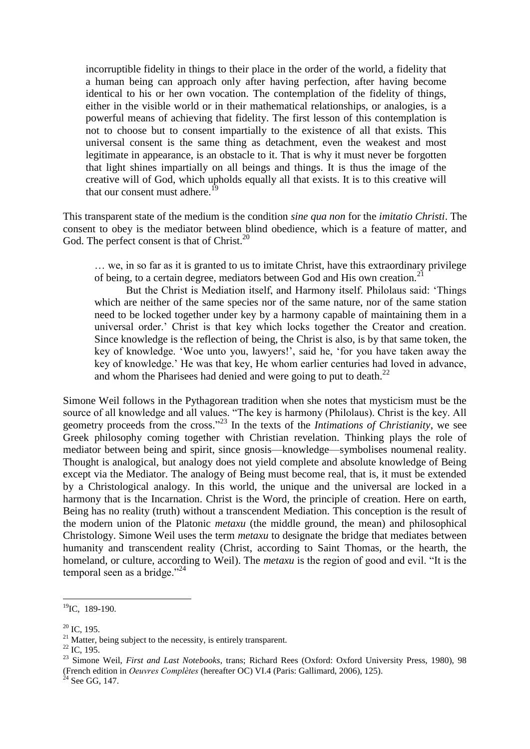incorruptible fidelity in things to their place in the order of the world, a fidelity that a human being can approach only after having perfection, after having become identical to his or her own vocation. The contemplation of the fidelity of things, either in the visible world or in their mathematical relationships, or analogies, is a powerful means of achieving that fidelity. The first lesson of this contemplation is not to choose but to consent impartially to the existence of all that exists. This universal consent is the same thing as detachment, even the weakest and most legitimate in appearance, is an obstacle to it. That is why it must never be forgotten that light shines impartially on all beings and things. It is thus the image of the creative will of God, which upholds equally all that exists. It is to this creative will that our consent must adhere.<sup>1</sup>

This transparent state of the medium is the condition *sine qua non* for the *imitatio Christi*. The consent to obey is the mediator between blind obedience, which is a feature of matter, and God. The perfect consent is that of Christ.<sup>20</sup>

… we, in so far as it is granted to us to imitate Christ, have this extraordinary privilege of being, to a certain degree, mediators between God and His own creation.<sup>2</sup>

But the Christ is Mediation itself, and Harmony itself. Philolaus said: 'Things which are neither of the same species nor of the same nature, nor of the same station need to be locked together under key by a harmony capable of maintaining them in a universal order.' Christ is that key which locks together the Creator and creation. Since knowledge is the reflection of being, the Christ is also, is by that same token, the key of knowledge. 'Woe unto you, lawyers!', said he, 'for you have taken away the key of knowledge.' He was that key, He whom earlier centuries had loved in advance, and whom the Pharisees had denied and were going to put to death. $^{22}$ 

Simone Weil follows in the Pythagorean tradition when she notes that mysticism must be the source of all knowledge and all values. "The key is harmony (Philolaus). Christ is the key. All geometry proceeds from the cross." <sup>23</sup> In the texts of the *Intimations of Christianity*, we see Greek philosophy coming together with Christian revelation. Thinking plays the role of mediator between being and spirit, since gnosis—knowledge—symbolises noumenal reality. Thought is analogical, but analogy does not yield complete and absolute knowledge of Being except via the Mediator. The analogy of Being must become real, that is, it must be extended by a Christological analogy. In this world, the unique and the universal are locked in a harmony that is the Incarnation. Christ is the Word, the principle of creation. Here on earth, Being has no reality (truth) without a transcendent Mediation. This conception is the result of the modern union of the Platonic *metaxu* (the middle ground, the mean) and philosophical Christology. Simone Weil uses the term *metaxu* to designate the bridge that mediates between humanity and transcendent reality (Christ, according to Saint Thomas, or the hearth, the homeland, or culture, according to Weil). The *metaxu* is the region of good and evil. "It is the temporal seen as a bridge."<sup>24</sup>

1

 $^{24}$  See GG, 147.

 $^{19}$ IC, 189-190.

 $20$  IC, 195.

 $^{21}$  Matter, being subject to the necessity, is entirely transparent.

 $22$  IC, 195.

<sup>&</sup>lt;sup>23</sup> Simone Weil, *First and Last Notebooks*, trans; Richard Rees (Oxford: Oxford University Press, 1980), 98 (French edition in *Oeuvres Complètes* (hereafter OC) VI.4 (Paris: Gallimard, 2006), 125).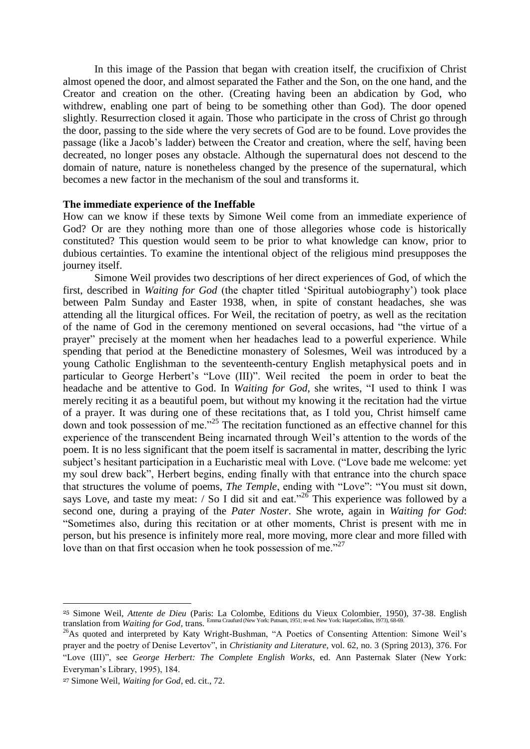In this image of the Passion that began with creation itself, the crucifixion of Christ almost opened the door, and almost separated the Father and the Son, on the one hand, and the Creator and creation on the other. (Creating having been an abdication by God, who withdrew, enabling one part of being to be something other than God). The door opened slightly. Resurrection closed it again. Those who participate in the cross of Christ go through the door, passing to the side where the very secrets of God are to be found. Love provides the passage (like a Jacob's ladder) between the Creator and creation, where the self, having been decreated, no longer poses any obstacle. Although the supernatural does not descend to the domain of nature, nature is nonetheless changed by the presence of the supernatural, which becomes a new factor in the mechanism of the soul and transforms it.

#### **The immediate experience of the Ineffable**

How can we know if these texts by Simone Weil come from an immediate experience of God? Or are they nothing more than one of those allegories whose code is historically constituted? This question would seem to be prior to what knowledge can know, prior to dubious certainties. To examine the intentional object of the religious mind presupposes the journey itself.

Simone Weil provides two descriptions of her direct experiences of God, of which the first, described in *Waiting for God* (the chapter titled 'Spiritual autobiography') took place between Palm Sunday and Easter 1938, when, in spite of constant headaches, she was attending all the liturgical offices. For Weil, the recitation of poetry, as well as the recitation of the name of God in the ceremony mentioned on several occasions, had "the virtue of a prayer" precisely at the moment when her headaches lead to a powerful experience. While spending that period at the Benedictine monastery of Solesmes, Weil was introduced by a young Catholic Englishman to the seventeenth-century English metaphysical poets and in particular to George Herbert's "Love (III)". Weil recited the poem in order to beat the headache and be attentive to God. In *Waiting for God*, she writes, "I used to think I was merely reciting it as a beautiful poem, but without my knowing it the recitation had the virtue of a prayer. It was during one of these recitations that, as I told you, Christ himself came  $d$ <sub>d</sub> and took possession of me."<sup>25</sup> The recitation functioned as an effective channel for this experience of the transcendent Being incarnated through Weil's attention to the words of the poem. It is no less significant that the poem itself is sacramental in matter, describing the lyric subject's hesitant participation in a Eucharistic meal with Love. ("Love bade me welcome: yet my soul drew back", Herbert begins, ending finally with that entrance into the church space that structures the volume of poems, *The Temple*, ending with "Love": "You must sit down, says Love, and taste my meat: / So I did sit and eat."<sup>26</sup> This experience was followed by a second one, during a praying of the *Pater Noster*. She wrote, again in *Waiting for God*: "Sometimes also, during this recitation or at other moments, Christ is present with me in person, but his presence is infinitely more real, more moving, more clear and more filled with love than on that first occasion when he took possession of me. $127$ 

1

<sup>25</sup> Simone Weil, *Attente de Dieu* (Paris: La Colombe, Editions du Vieux Colombier, 1950), 37-38. English translation from *Waiting for God*, trans. Emma Craufurd (New York: Putnam, 1951; re-ed. New York: HarperCollins, 1973), 68-69.

<sup>&</sup>lt;sup>26</sup>As quoted and interpreted by Katy Wright-Bushman, "A Poetics of Consenting Attention: Simone Weil's prayer and the poetry of Denise Levertov", in *Christianity and Literature*, vol. 62, no. 3 (Spring 2013), 376. For "Love (III)", see *George Herbert: The Complete English Works*, ed. Ann Pasternak Slater (New York: Everyman's Library, 1995), 184.

<sup>27</sup> Simone Weil, *Waiting for God*, ed. cit., 72.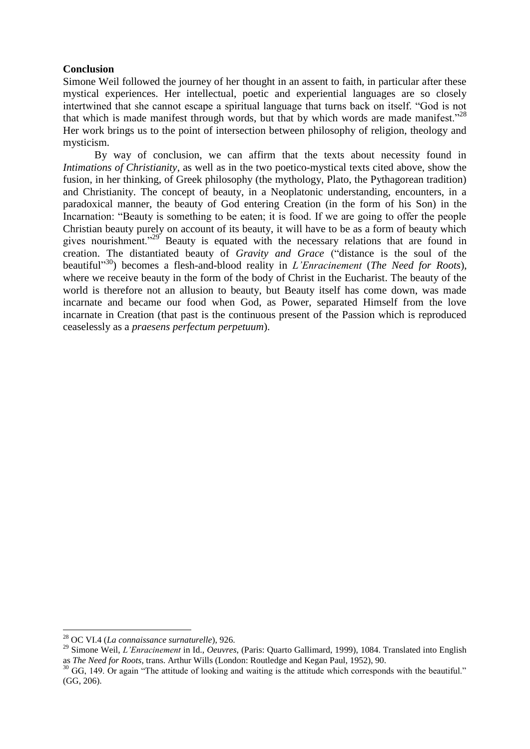# **Conclusion**

Simone Weil followed the journey of her thought in an assent to faith, in particular after these mystical experiences. Her intellectual, poetic and experiential languages are so closely intertwined that she cannot escape a spiritual language that turns back on itself. "God is not that which is made manifest through words, but that by which words are made manifest. $28$ Her work brings us to the point of intersection between philosophy of religion, theology and mysticism.

By way of conclusion, we can affirm that the texts about necessity found in *Intimations of Christianity*, as well as in the two poetico-mystical texts cited above, show the fusion, in her thinking, of Greek philosophy (the mythology, Plato, the Pythagorean tradition) and Christianity. The concept of beauty, in a Neoplatonic understanding, encounters, in a paradoxical manner, the beauty of God entering Creation (in the form of his Son) in the Incarnation: "Beauty is something to be eaten; it is food. If we are going to offer the people Christian beauty purely on account of its beauty, it will have to be as a form of beauty which gives nourishment."<sup>29</sup> Beauty is equated with the necessary relations that are found in creation. The distantiated beauty of *Gravity and Grace* ("distance is the soul of the beautiful" <sup>30</sup>) becomes a flesh-and-blood reality in *L'Enracinement* (*The Need for Roots*), where we receive beauty in the form of the body of Christ in the Eucharist. The beauty of the world is therefore not an allusion to beauty, but Beauty itself has come down, was made incarnate and became our food when God, as Power, separated Himself from the love incarnate in Creation (that past is the continuous present of the Passion which is reproduced ceaselessly as a *praesens perfectum perpetuum*).

**<sup>.</sup>** <sup>28</sup> OC VI.4 (*La connaissance surnaturelle*), 926.

<sup>29</sup> Simone Weil, *L'Enracinement* in Id., *Oeuvres*, (Paris: Quarto Gallimard, 1999), 1084. Translated into English as *The Need for Roots*, trans. Arthur Wills (London: Routledge and Kegan Paul, 1952), 90.

 $30$  GG, 149. Or again "The attitude of looking and waiting is the attitude which corresponds with the beautiful." (GG, 206).